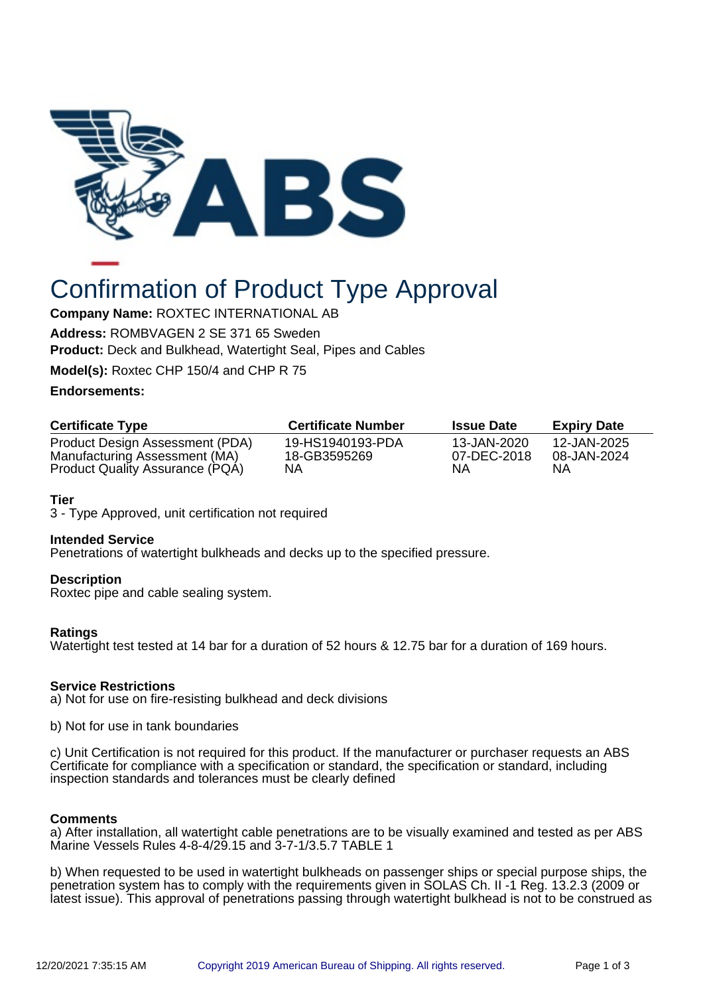

# Confirmation of Product Type Approval

**Company Name:** ROXTEC INTERNATIONAL AB

**Address:** ROMBVAGEN 2 SE 371 65 Sweden

**Product:** Deck and Bulkhead, Watertight Seal, Pipes and Cables

**Model(s):** Roxtec CHP 150/4 and CHP R 75

# **Endorsements:**

| <b>Certificate Type</b>                                          | <b>Certificate Number</b>        | <b>Issue Date</b>          | <b>Expiry Date</b>         |
|------------------------------------------------------------------|----------------------------------|----------------------------|----------------------------|
| Product Design Assessment (PDA)<br>Manufacturing Assessment (MA) | 19-HS1940193-PDA<br>18-GB3595269 | 13-JAN-2020<br>07-DEC-2018 | 12-JAN-2025<br>08-JAN-2024 |
| Product Quality Assurance (PQA)                                  | ΝA                               | NΑ                         | ΝA                         |

# **Tier**

3 - Type Approved, unit certification not required

## **Intended Service**

Penetrations of watertight bulkheads and decks up to the specified pressure.

## **Description**

Roxtec pipe and cable sealing system.

# **Ratings**

Watertight test tested at 14 bar for a duration of 52 hours & 12.75 bar for a duration of 169 hours.

## **Service Restrictions**

a) Not for use on fire-resisting bulkhead and deck divisions

b) Not for use in tank boundaries

c) Unit Certification is not required for this product. If the manufacturer or purchaser requests an ABS Certificate for compliance with a specification or standard, the specification or standard, including inspection standards and tolerances must be clearly defined

## **Comments**

a) After installation, all watertight cable penetrations are to be visually examined and tested as per ABS Marine Vessels Rules 4-8-4/29.15 and 3-7-1/3.5.7 TABLE 1

b) When requested to be used in watertight bulkheads on passenger ships or special purpose ships, the penetration system has to comply with the requirements given in SOLAS Ch. II -1 Reg. 13.2.3 (2009 or latest issue). This approval of penetrations passing through watertight bulkhead is not to be construed as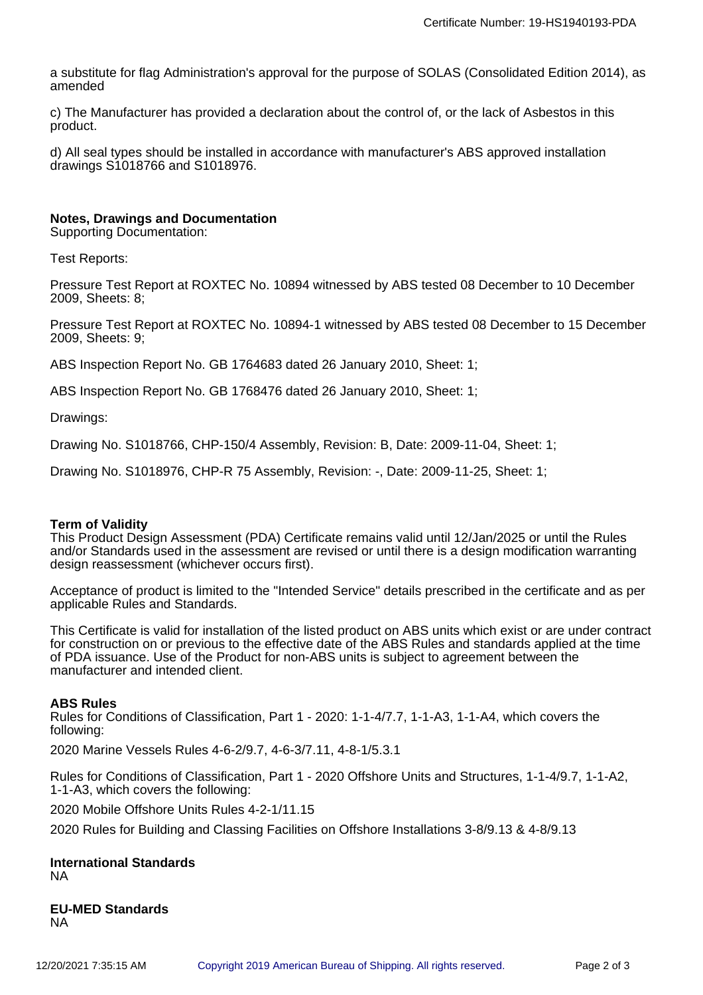a substitute for flag Administration's approval for the purpose of SOLAS (Consolidated Edition 2014), as amended

c) The Manufacturer has provided a declaration about the control of, or the lack of Asbestos in this product.

d) All seal types should be installed in accordance with manufacturer's ABS approved installation drawings S1018766 and S1018976.

#### **Notes, Drawings and Documentation**

Supporting Documentation:

Test Reports:

Pressure Test Report at ROXTEC No. 10894 witnessed by ABS tested 08 December to 10 December 2009, Sheets: 8;

Pressure Test Report at ROXTEC No. 10894-1 witnessed by ABS tested 08 December to 15 December 2009, Sheets: 9;

ABS Inspection Report No. GB 1764683 dated 26 January 2010, Sheet: 1;

ABS Inspection Report No. GB 1768476 dated 26 January 2010, Sheet: 1;

Drawings:

Drawing No. S1018766, CHP-150/4 Assembly, Revision: B, Date: 2009-11-04, Sheet: 1;

Drawing No. S1018976, CHP-R 75 Assembly, Revision: -, Date: 2009-11-25, Sheet: 1;

#### **Term of Validity**

This Product Design Assessment (PDA) Certificate remains valid until 12/Jan/2025 or until the Rules and/or Standards used in the assessment are revised or until there is a design modification warranting design reassessment (whichever occurs first).

Acceptance of product is limited to the "Intended Service" details prescribed in the certificate and as per applicable Rules and Standards.

This Certificate is valid for installation of the listed product on ABS units which exist or are under contract for construction on or previous to the effective date of the ABS Rules and standards applied at the time of PDA issuance. Use of the Product for non-ABS units is subject to agreement between the manufacturer and intended client.

#### **ABS Rules**

Rules for Conditions of Classification, Part 1 - 2020: 1-1-4/7.7, 1-1-A3, 1-1-A4, which covers the following:

2020 Marine Vessels Rules 4-6-2/9.7, 4-6-3/7.11, 4-8-1/5.3.1

Rules for Conditions of Classification, Part 1 - 2020 Offshore Units and Structures, 1-1-4/9.7, 1-1-A2, 1-1-A3, which covers the following:

2020 Mobile Offshore Units Rules 4-2-1/11.15

2020 Rules for Building and Classing Facilities on Offshore Installations 3-8/9.13 & 4-8/9.13

**International Standards** NA

**EU-MED Standards** NA